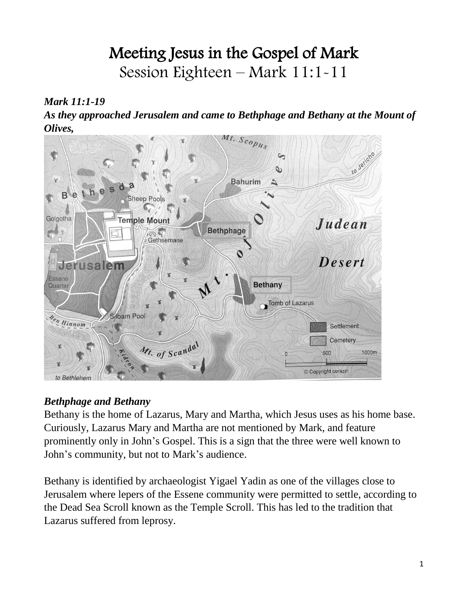# Meeting Jesus in the Gospel of Mark Session Eighteen – Mark 11:1-11

#### *Mark 11:1-19*

*As they approached Jerusalem and came to Bethphage and Bethany at the Mount of Olives,* 



## *Bethphage and Bethany*

Bethany is the home of Lazarus, Mary and Martha, which Jesus uses as his home base. Curiously, Lazarus Mary and Martha are not mentioned by Mark, and feature prominently only in John's Gospel. This is a sign that the three were well known to John's community, but not to Mark's audience.

Bethany is identified by archaeologist Yigael Yadin as one of the villages close to Jerusalem where lepers of the Essene community were permitted to settle, according to the Dead Sea Scroll known as the Temple Scroll. This has led to the tradition that Lazarus suffered from leprosy.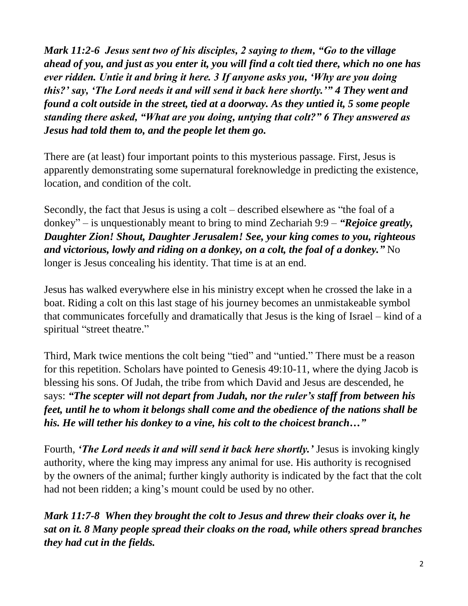*Mark 11:2-6 Jesus sent two of his disciples, 2 saying to them, "Go to the village ahead of you, and just as you enter it, you will find a colt tied there, which no one has ever ridden. Untie it and bring it here. 3 If anyone asks you, 'Why are you doing this?' say, 'The Lord needs it and will send it back here shortly.'" 4 They went and found a colt outside in the street, tied at a doorway. As they untied it, 5 some people standing there asked, "What are you doing, untying that colt?" 6 They answered as Jesus had told them to, and the people let them go.*

There are (at least) four important points to this mysterious passage. First, Jesus is apparently demonstrating some supernatural foreknowledge in predicting the existence, location, and condition of the colt.

Secondly, the fact that Jesus is using a colt – described elsewhere as "the foal of a donkey" – is unquestionably meant to bring to mind Zechariah 9:9 – *"Rejoice greatly, Daughter Zion! Shout, Daughter Jerusalem! See, your king comes to you, righteous and victorious, lowly and riding on a donkey, on a colt, the foal of a donkey."* No longer is Jesus concealing his identity. That time is at an end.

Jesus has walked everywhere else in his ministry except when he crossed the lake in a boat. Riding a colt on this last stage of his journey becomes an unmistakeable symbol that communicates forcefully and dramatically that Jesus is the king of Israel – kind of a spiritual "street theatre."

Third, Mark twice mentions the colt being "tied" and "untied." There must be a reason for this repetition. Scholars have pointed to Genesis 49:10-11, where the dying Jacob is blessing his sons. Of Judah, the tribe from which David and Jesus are descended, he says: *"The scepter will not depart from Judah, nor the ruler's staff from between his feet, until he to whom it belongs shall come and the obedience of the nations shall be his. He will tether his donkey to a vine, his colt to the choicest branch…"*

Fourth, *'The Lord needs it and will send it back here shortly.'* Jesus is invoking kingly authority, where the king may impress any animal for use. His authority is recognised by the owners of the animal; further kingly authority is indicated by the fact that the colt had not been ridden; a king's mount could be used by no other.

*Mark 11:7-8 When they brought the colt to Jesus and threw their cloaks over it, he sat on it. 8 Many people spread their cloaks on the road, while others spread branches they had cut in the fields.*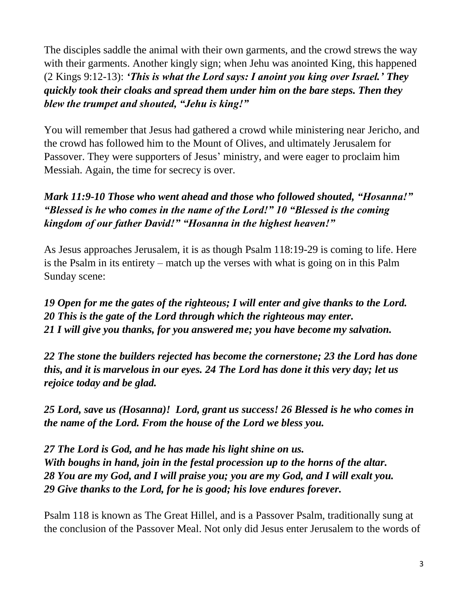The disciples saddle the animal with their own garments, and the crowd strews the way with their garments. Another kingly sign; when Jehu was anointed King, this happened (2 Kings 9:12-13): *'This is what the Lord says: I anoint you king over Israel.' They quickly took their cloaks and spread them under him on the bare steps. Then they blew the trumpet and shouted, "Jehu is king!"*

You will remember that Jesus had gathered a crowd while ministering near Jericho, and the crowd has followed him to the Mount of Olives, and ultimately Jerusalem for Passover. They were supporters of Jesus' ministry, and were eager to proclaim him Messiah. Again, the time for secrecy is over.

## *Mark 11:9-10 Those who went ahead and those who followed shouted, "Hosanna!" "Blessed is he who comes in the name of the Lord!" 10 "Blessed is the coming kingdom of our father David!" "Hosanna in the highest heaven!"*

As Jesus approaches Jerusalem, it is as though Psalm 118:19-29 is coming to life. Here is the Psalm in its entirety – match up the verses with what is going on in this Palm Sunday scene:

*19 Open for me the gates of the righteous; I will enter and give thanks to the Lord. 20 This is the gate of the Lord through which the righteous may enter. 21 I will give you thanks, for you answered me; you have become my salvation.*

*22 The stone the builders rejected has become the cornerstone; 23 the Lord has done this, and it is marvelous in our eyes. 24 The Lord has done it this very day; let us rejoice today and be glad.*

*25 Lord, save us (Hosanna)! Lord, grant us success! 26 Blessed is he who comes in the name of the Lord. From the house of the Lord we bless you.*

*27 The Lord is God, and he has made his light shine on us. With boughs in hand, join in the festal procession up to the horns of the altar. 28 You are my God, and I will praise you; you are my God, and I will exalt you. 29 Give thanks to the Lord, for he is good; his love endures forever.*

Psalm 118 is known as The Great Hillel, and is a Passover Psalm, traditionally sung at the conclusion of the Passover Meal. Not only did Jesus enter Jerusalem to the words of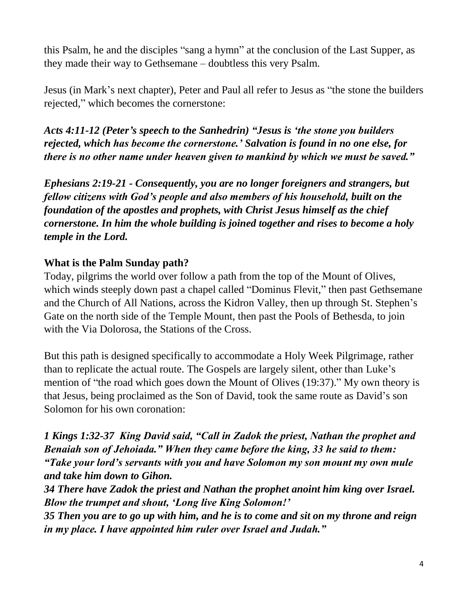this Psalm, he and the disciples "sang a hymn" at the conclusion of the Last Supper, as they made their way to Gethsemane – doubtless this very Psalm.

Jesus (in Mark's next chapter), Peter and Paul all refer to Jesus as "the stone the builders rejected," which becomes the cornerstone:

*Acts 4:11-12 (Peter's speech to the Sanhedrin) "Jesus is 'the stone you builders rejected, which has become the cornerstone.' Salvation is found in no one else, for there is no other name under heaven given to mankind by which we must be saved."*

*Ephesians 2:19-21 - Consequently, you are no longer foreigners and strangers, but fellow citizens with God's people and also members of his household, built on the foundation of the apostles and prophets, with Christ Jesus himself as the chief cornerstone. In him the whole building is joined together and rises to become a holy temple in the Lord.*

#### **What is the Palm Sunday path?**

Today, pilgrims the world over follow a path from the top of the Mount of Olives, which winds steeply down past a chapel called "Dominus Flevit," then past Gethsemane and the Church of All Nations, across the Kidron Valley, then up through St. Stephen's Gate on the north side of the Temple Mount, then past the Pools of Bethesda, to join with the Via Dolorosa, the Stations of the Cross.

But this path is designed specifically to accommodate a Holy Week Pilgrimage, rather than to replicate the actual route. The Gospels are largely silent, other than Luke's mention of "the road which goes down the Mount of Olives (19:37)." My own theory is that Jesus, being proclaimed as the Son of David, took the same route as David's son Solomon for his own coronation:

*1 Kings 1:32-37 King David said, "Call in Zadok the priest, Nathan the prophet and Benaiah son of Jehoiada." When they came before the king, 33 he said to them: "Take your lord's servants with you and have Solomon my son mount my own mule and take him down to Gihon.* 

*34 There have Zadok the priest and Nathan the prophet anoint him king over Israel. Blow the trumpet and shout, 'Long live King Solomon!'* 

*35 Then you are to go up with him, and he is to come and sit on my throne and reign in my place. I have appointed him ruler over Israel and Judah."*